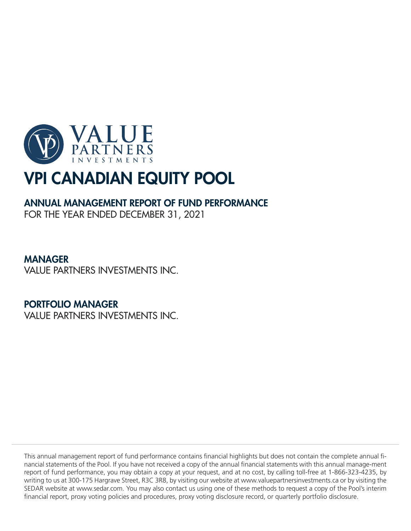

# ANNUAL MANAGEMENT REPORT OF FUND PERFORMANCE

FOR THE YEAR ENDED DECEMBER 31, 2021

# MANAGER

VALUE PARTNERS INVESTMENTS INC.

# PORTFOLIO MANAGER

VALUE PARTNERS INVESTMENTS INC.

This annual management report of fund performance contains financial highlights but does not contain the complete annual financial statements of the Pool. If you have not received a copy of the annual financial statements with this annual manage-ment report of fund performance, you may obtain a copy at your request, and at no cost, by calling toll-free at 1-866-323-4235, by writing to us at 300-175 Hargrave Street, R3C 3R8, by visiting our website at www.valuepartnersinvestments.ca or by visiting the SEDAR website at www.sedar.com. You may also contact us using one of these methods to request a copy of the Pool's interim financial report, proxy voting policies and procedures, proxy voting disclosure record, or quarterly portfolio disclosure.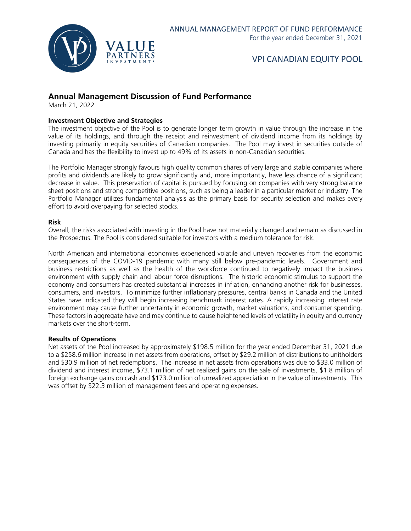

### **Annual Management Discussion of Fund Performance**

March 21, 2022

#### **Investment Objective and Strategies**

The investment objective of the Pool is to generate longer term growth in value through the increase in the value of its holdings, and through the receipt and reinvestment of dividend income from its holdings by investing primarily in equity securities of Canadian companies. The Pool may invest in securities outside of Canada and has the flexibility to invest up to 49% of its assets in non-Canadian securities.

The Portfolio Manager strongly favours high quality common shares of very large and stable companies where profits and dividends are likely to grow significantly and, more importantly, have less chance of a significant decrease in value. This preservation of capital is pursued by focusing on companies with very strong balance sheet positions and strong competitive positions, such as being a leader in a particular market or industry. The Portfolio Manager utilizes fundamental analysis as the primary basis for security selection and makes every effort to avoid overpaying for selected stocks.

#### **Risk**

Overall, the risks associated with investing in the Pool have not materially changed and remain as discussed in the Prospectus. The Pool is considered suitable for investors with a medium tolerance for risk.

North American and international economies experienced volatile and uneven recoveries from the economic consequences of the COVID-19 pandemic with many still below pre-pandemic levels. Government and business restrictions as well as the health of the workforce continued to negatively impact the business environment with supply chain and labour force disruptions. The historic economic stimulus to support the economy and consumers has created substantial increases in inflation, enhancing another risk for businesses, consumers, and investors. To minimize further inflationary pressures, central banks in Canada and the United States have indicated they will begin increasing benchmark interest rates. A rapidly increasing interest rate environment may cause further uncertainty in economic growth, market valuations, and consumer spending. These factors in aggregate have and may continue to cause heightened levels of volatility in equity and currency markets over the short-term.

#### **Results of Operations**

Net assets of the Pool increased by approximately \$198.5 million for the year ended December 31, 2021 due to a \$258.6 million increase in net assets from operations, offset by \$29.2 million of distributions to unitholders and \$30.9 million of net redemptions. The increase in net assets from operations was due to \$33.0 million of dividend and interest income, \$73.1 million of net realized gains on the sale of investments, \$1.8 million of foreign exchange gains on cash and \$173.0 million of unrealized appreciation in the value of investments. This was offset by \$22.3 million of management fees and operating expenses.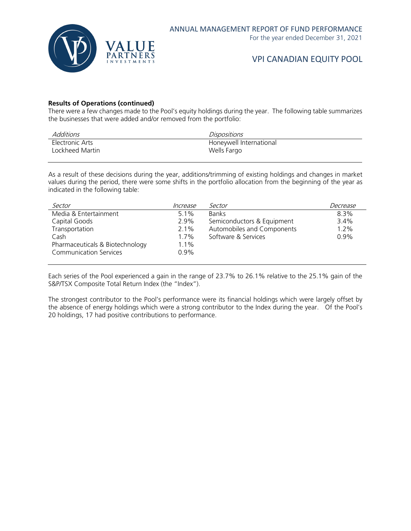

#### **Results of Operations (continued)**

There were a few changes made to the Pool's equity holdings during the year. The following table summarizes the businesses that were added and/or removed from the portfolio:

| Additions       | <i>Dispositions</i>     |
|-----------------|-------------------------|
| Electronic Arts | Honeywell International |
| Lockheed Martin | Wells Fargo             |

As a result of these decisions during the year, additions/trimming of existing holdings and changes in market values during the period, there were some shifts in the portfolio allocation from the beginning of the year as indicated in the following table:

| Sector                          | Increase | Sector                     | Decrease |
|---------------------------------|----------|----------------------------|----------|
| Media & Entertainment           | $5.1\%$  | <b>Banks</b>               | $8.3\%$  |
| Capital Goods                   | 2.9%     | Semiconductors & Equipment | 3.4%     |
| Transportation                  | $2.1\%$  | Automobiles and Components | 1.2%     |
| Cash                            | $1.7\%$  | Software & Services        | 0.9%     |
| Pharmaceuticals & Biotechnology | 1.1%     |                            |          |
| <b>Communication Services</b>   | $0.9\%$  |                            |          |

Each series of the Pool experienced a gain in the range of 23.7% to 26.1% relative to the 25.1% gain of the S&P/TSX Composite Total Return Index (the "Index").

The strongest contributor to the Pool's performance were its financial holdings which were largely offset by the absence of energy holdings which were a strong contributor to the Index during the year. Of the Pool's 20 holdings, 17 had positive contributions to performance.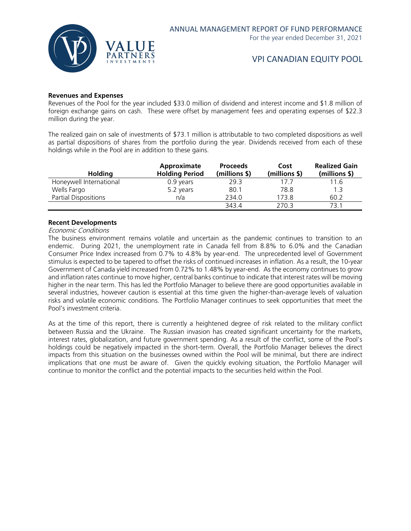

#### **Revenues and Expenses**

Revenues of the Pool for the year included \$33.0 million of dividend and interest income and \$1.8 million of foreign exchange gains on cash. These were offset by management fees and operating expenses of \$22.3 million during the year.

The realized gain on sale of investments of \$73.1 million is attributable to two completed dispositions as well as partial dispositions of shares from the portfolio during the year. Dividends received from each of these holdings while in the Pool are in addition to these gains.

|                         | Approximate           | <b>Proceeds</b> | Cost          | <b>Realized Gain</b> |
|-------------------------|-----------------------|-----------------|---------------|----------------------|
| <b>Holding</b>          | <b>Holding Period</b> | (millions \$)   | (millions \$) | (millions \$)        |
| Honeywell International | 0.9 years             | 29.3            | 17.7          | 11.6                 |
| Wells Fargo             | 5.2 years             | 80.1            | 78.8          | 1.3                  |
| Partial Dispositions    | n/a                   | 234.0           | 173.8         | 60.2                 |
|                         |                       | 343.4           | 270.3         | 73.1                 |

#### **Recent Developments**

#### Economic Conditions

The business environment remains volatile and uncertain as the pandemic continues to transition to an endemic. During 2021, the unemployment rate in Canada fell from 8.8% to 6.0% and the Canadian Consumer Price Index increased from 0.7% to 4.8% by year-end. The unprecedented level of Government stimulus is expected to be tapered to offset the risks of continued increases in inflation. As a result, the 10-year Government of Canada yield increased from 0.72% to 1.48% by year-end. As the economy continues to grow and inflation rates continue to move higher, central banks continue to indicate that interest rates will be moving higher in the near term. This has led the Portfolio Manager to believe there are good opportunities available in several industries, however caution is essential at this time given the higher-than-average levels of valuation risks and volatile economic conditions. The Portfolio Manager continues to seek opportunities that meet the Pool's investment criteria.

As at the time of this report, there is currently a heightened degree of risk related to the military conflict between Russia and the Ukraine. The Russian invasion has created significant uncertainty for the markets, interest rates, globalization, and future government spending. As a result of the conflict, some of the Pool's holdings could be negatively impacted in the short-term. Overall, the Portfolio Manager believes the direct impacts from this situation on the businesses owned within the Pool will be minimal, but there are indirect implications that one must be aware of. Given the quickly evolving situation, the Portfolio Manager will continue to monitor the conflict and the potential impacts to the securities held within the Pool.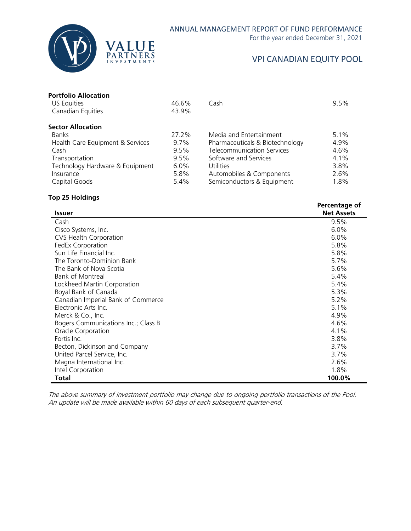

For the year ended December 31, 2021

# VPI CANADIAN EQUITY POOL

**Percentage of** 

| <b>Portfolio Allocation</b> |
|-----------------------------|
|                             |

| US Equities                      | 46.6%   | Cash                              | 9.5% |
|----------------------------------|---------|-----------------------------------|------|
| Canadian Equities                | 43.9%   |                                   |      |
| <b>Sector Allocation</b>         |         |                                   |      |
| <b>Banks</b>                     | 27.2%   | Media and Entertainment           | 5.1% |
| Health Care Equipment & Services | $9.7\%$ | Pharmaceuticals & Biotechnology   | 4.9% |
| Cash                             | 9.5%    | <b>Telecommunication Services</b> | 4.6% |
| Transportation                   | $9.5\%$ | Software and Services             | 4.1% |
| Technology Hardware & Equipment  | $6.0\%$ | Utilities                         | 3.8% |
| Insurance                        | 5.8%    | Automobiles & Components          | 2.6% |
| Capital Goods                    | 5.4%    | Semiconductors & Equipment        | 1.8% |

#### **Top 25 Holdings**

| <b>Issuer</b>                       | ו כונכוונטקט טו<br><b>Net Assets</b> |
|-------------------------------------|--------------------------------------|
| Cash                                | 9.5%                                 |
| Cisco Systems, Inc.                 | $6.0\%$                              |
| <b>CVS Health Corporation</b>       | 6.0%                                 |
| FedEx Corporation                   | 5.8%                                 |
| Sun Life Financial Inc.             | 5.8%                                 |
| The Toronto-Dominion Bank           | 5.7%                                 |
| The Bank of Nova Scotia             | 5.6%                                 |
| Bank of Montreal                    | 5.4%                                 |
| Lockheed Martin Corporation         | 5.4%                                 |
| Royal Bank of Canada                | 5.3%                                 |
| Canadian Imperial Bank of Commerce  | 5.2%                                 |
| Electronic Arts Inc.                | 5.1%                                 |
| Merck & Co., Inc.                   | 4.9%                                 |
| Rogers Communications Inc.; Class B | 4.6%                                 |
| Oracle Corporation                  | 4.1%                                 |
| Fortis Inc.                         | 3.8%                                 |
| Becton, Dickinson and Company       | 3.7%                                 |
| United Parcel Service, Inc.         | 3.7%                                 |
| Magna International Inc.            | 2.6%                                 |
| Intel Corporation                   | 1.8%                                 |
| Total                               | 100.0%                               |

The above summary of investment portfolio may change due to ongoing portfolio transactions of the Pool. An update will be made available within 60 days of each subsequent quarter-end.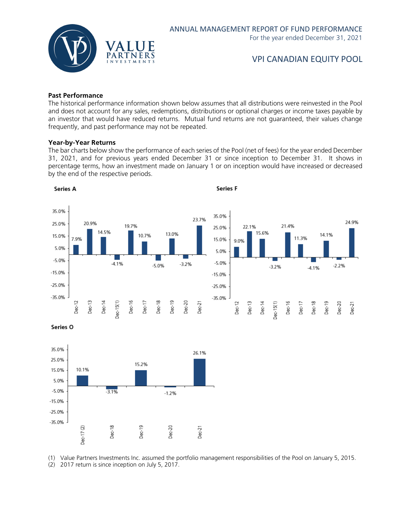

#### **Past Performance**

The historical performance information shown below assumes that all distributions were reinvested in the Pool and does not account for any sales, redemptions, distributions or optional charges or income taxes payable by an investor that would have reduced returns. Mutual fund returns are not guaranteed, their values change frequently, and past performance may not be repeated.

#### **Year-by-Year Returns**

The bar charts below show the performance of each series of the Pool (net of fees) for the year ended December 31, 2021, and for previous years ended December 31 or since inception to December 31. It shows in percentage terms, how an investment made on January 1 or on inception would have increased or decreased by the end of the respective periods.



Series O



(1) Value Partners Investments Inc. assumed the portfolio management responsibilities of the Pool on January 5, 2015.

(2) 2017 return is since inception on July 5, 2017.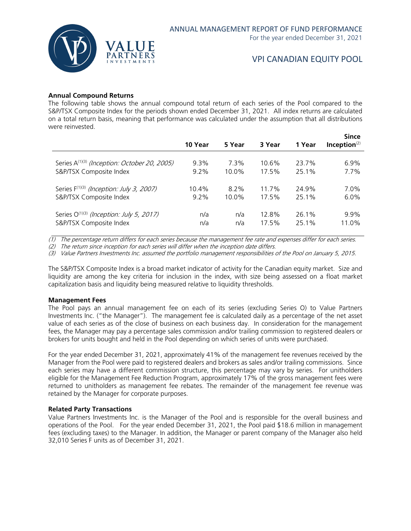

#### **Annual Compound Returns**

The following table shows the annual compound total return of each series of the Pool compared to the S&P/TSX Composite Index for the periods shown ended December 31, 2021. All index returns are calculated on a total return basis, meaning that performance was calculated under the assumption that all distributions were reinvested.

|                                                          | 10 Year  | 5 Year  | 3 Year | 1 Year | <b>Since</b><br>Inception $(2)$ |
|----------------------------------------------------------|----------|---------|--------|--------|---------------------------------|
| Series A <sup>(1)(3)</sup> (Inception: October 20, 2005) | $9.3\%$  | 7.3%    | 10.6%  | 23.7%  | $6.9\%$                         |
| S&P/TSX Composite Index                                  | $9.2\%$  | 10.0%   | 17.5%  | 25.1%  | $7.7\%$                         |
| Series F <sup>(1)(3)</sup> (Inception: July 3, 2007)     | $10.4\%$ | $8.2\%$ | 11.7%  | 24.9%  | $7.0\%$                         |
| S&P/TSX Composite Index                                  | $9.2\%$  | 10.0%   | 17.5%  | 25.1%  | $6.0\%$                         |
| Series O <sup>(1)(3)</sup> (Inception: July 5, 2017)     | n/a      | n/a     | 12.8%  | 26.1%  | 9.9%                            |
| S&P/TSX Composite Index                                  | n/a      | n/a     | 17.5%  | 25.1%  | 11.0%                           |

(1) The percentage return differs for each series because the management fee rate and expenses differ for each series.

(2) The return since inception for each series will differ when the inception date differs.

(3) Value Partners Investments Inc. assumed the portfolio management responsibilities of the Pool on January 5, 2015.

The S&P/TSX Composite Index is a broad market indicator of activity for the Canadian equity market. Size and liquidity are among the key criteria for inclusion in the index, with size being assessed on a float market capitalization basis and liquidity being measured relative to liquidity thresholds.

#### **Management Fees**

The Pool pays an annual management fee on each of its series (excluding Series O) to Value Partners Investments Inc. ("the Manager"). The management fee is calculated daily as a percentage of the net asset value of each series as of the close of business on each business day. In consideration for the management fees, the Manager may pay a percentage sales commission and/or trailing commission to registered dealers or brokers for units bought and held in the Pool depending on which series of units were purchased.

For the year ended December 31, 2021, approximately 41% of the management fee revenues received by the Manager from the Pool were paid to registered dealers and brokers as sales and/or trailing commissions. Since each series may have a different commission structure, this percentage may vary by series. For unitholders eligible for the Management Fee Reduction Program, approximately 17% of the gross management fees were returned to unitholders as management fee rebates. The remainder of the management fee revenue was retained by the Manager for corporate purposes.

#### **Related Party Transactions**

Value Partners Investments Inc. is the Manager of the Pool and is responsible for the overall business and operations of the Pool. For the year ended December 31, 2021, the Pool paid \$18.6 million in management fees (excluding taxes) to the Manager. In addition, the Manager or parent company of the Manager also held 32,010 Series F units as of December 31, 2021.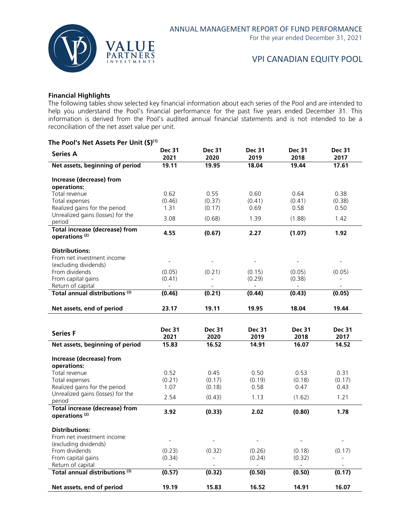

#### **Financial Highlights**

The following tables show selected key financial information about each series of the Pool and are intended to help you understand the Pool's financial performance for the past five years ended December 31. This information is derived from the Pool's audited annual financial statements and is not intended to be a reconciliation of the net asset value per unit.

#### **The Pool's Net Assets Per Unit (\$)(1)**

| <b>Series A</b>                                                    | <b>Dec 31</b><br>2021    | <b>Dec 31</b><br>2020              | <b>Dec 31</b><br>2019    | <b>Dec 31</b><br>2018 | <b>Dec 31</b><br>2017              |
|--------------------------------------------------------------------|--------------------------|------------------------------------|--------------------------|-----------------------|------------------------------------|
| Net assets, beginning of period                                    | 19.11                    | 19.95                              | 18.04                    | 19.44                 | 17.61                              |
| Increase (decrease) from                                           |                          |                                    |                          |                       |                                    |
| operations:<br>Total revenue                                       | 0.62                     | 0.55                               | 0.60                     | 0.64                  | 0.38                               |
| Total expenses                                                     | (0.46)                   | (0.37)                             | (0.41)                   | (0.41)                | (0.38)                             |
| Realized gains for the period<br>Unrealized gains (losses) for the | 1.31                     | (0.17)                             | 0.69                     | 0.58                  | 0.50                               |
| period                                                             | 3.08                     | (0.68)                             | 1.39                     | (1.88)                | 1.42                               |
| <b>Total increase (decrease) from</b><br>operations <sup>(2)</sup> | 4.55                     | (0.67)                             | 2.27                     | (1.07)                | 1.92                               |
| <b>Distributions:</b>                                              |                          |                                    |                          |                       |                                    |
| From net investment income                                         | $\overline{\phantom{a}}$ |                                    |                          |                       |                                    |
| (excluding dividends)                                              |                          |                                    |                          |                       |                                    |
| From dividends<br>From capital gains                               | (0.05)<br>(0.41)         | (0.21)<br>$\overline{\phantom{a}}$ | (0.15)<br>(0.29)         | (0.05)<br>(0.38)      | (0.05)<br>$\overline{\phantom{0}}$ |
| Return of capital                                                  | $\overline{\phantom{a}}$ |                                    | $\overline{\phantom{a}}$ | $\blacksquare$        | $\overline{\phantom{a}}$           |
| Total annual distributions <sup>(3)</sup>                          | (0.46)                   | (0.21)                             | (0.44)                   | (0.43)                | (0.05)                             |
| Net assets, end of period                                          | 23.17                    | 19.11                              | 19.95                    | 18.04                 | 19.44                              |
|                                                                    |                          |                                    |                          |                       |                                    |
| <b>Series F</b>                                                    | <b>Dec 31</b>            | <b>Dec 31</b>                      | <b>Dec 31</b>            | <b>Dec 31</b>         | <b>Dec 31</b>                      |
| Net assets, beginning of period                                    | 2021<br>15.83            | 2020<br>16.52                      | 2019<br>14.91            | 2018<br>16.07         | 2017<br>14.52                      |
|                                                                    |                          |                                    |                          |                       |                                    |
| Increase (decrease) from                                           |                          |                                    |                          |                       |                                    |
| operations:<br>Total revenue                                       | 0.52                     | 0.45                               | 0.50                     | 0.53                  | 0.31                               |
| Total expenses                                                     | (0.21)                   | (0.17)                             | (0.19)                   | (0.18)                | (0.17)                             |
| Realized gains for the period                                      | 1.07                     | (0.18)                             | 0.58                     | 0.47                  | 0.43                               |
| Unrealized gains (losses) for the<br>period                        | 2.54                     | (0.43)                             | 1.13                     | (1.62)                | 1.21                               |
| <b>Total increase (decrease) from</b>                              | 3.92                     | (0.33)                             | 2.02                     | (0.80)                | 1.78                               |
| operations <sup>(2)</sup>                                          |                          |                                    |                          |                       |                                    |
| <b>Distributions:</b>                                              |                          |                                    |                          |                       |                                    |
| From net investment income                                         | $\overline{a}$           |                                    | $\overline{a}$           |                       |                                    |
| (excluding dividends)<br>From dividends                            | (0.23)                   | (0.32)                             | (0.26)                   | (0.18)                | (0.17)                             |
| From capital gains                                                 | (0.34)                   | $\overline{\phantom{m}}$           | (0.24)                   | (0.32)                | $\overline{\phantom{0}}$           |
| Return of capital                                                  |                          |                                    |                          |                       |                                    |
|                                                                    |                          |                                    |                          |                       |                                    |
| Total annual distributions <sup>(3)</sup>                          | (0.57)                   | (0.32)                             | (0.50)                   | (0.50)                | (0.17)                             |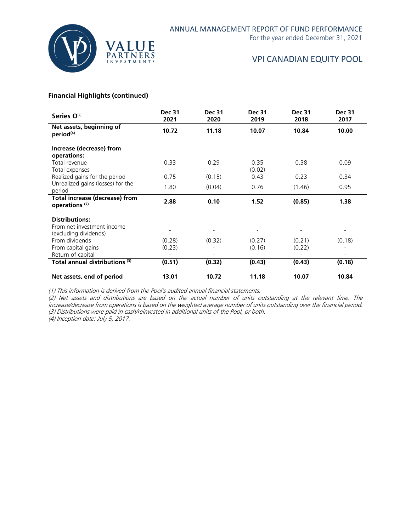

For the year ended December 31, 2021

# VPI CANADIAN EQUITY POOL

#### **Financial Highlights (continued)**

| Series O <sup>(4)</sup>                                     | <b>Dec 31</b><br>2021    | <b>Dec 31</b><br>2020    | <b>Dec 31</b><br>2019 | <b>Dec 31</b><br>2018 | <b>Dec 31</b><br>2017    |
|-------------------------------------------------------------|--------------------------|--------------------------|-----------------------|-----------------------|--------------------------|
| Net assets, beginning of<br>period <sup>(4)</sup>           | 10.72                    | 11.18                    | 10.07                 | 10.84                 | 10.00                    |
| Increase (decrease) from                                    |                          |                          |                       |                       |                          |
| operations:                                                 |                          |                          |                       |                       |                          |
| Total revenue                                               | 0.33                     | 0.29                     | 0.35                  | 0.38                  | 0.09                     |
| Total expenses                                              |                          |                          | (0.02)                |                       | $\overline{\phantom{a}}$ |
| Realized gains for the period                               | 0.75                     | (0.15)                   | 0.43                  | 0.23                  | 0.34                     |
| Unrealized gains (losses) for the                           | 1.80                     | (0.04)                   | 0.76                  | (1.46)                | 0.95                     |
| period                                                      |                          |                          |                       |                       |                          |
| Total increase (decrease) from<br>operations <sup>(2)</sup> | 2.88                     | 0.10                     | 1.52                  | (0.85)                | 1.38                     |
| <b>Distributions:</b>                                       |                          |                          |                       |                       |                          |
| From net investment income                                  |                          |                          |                       |                       |                          |
| (excluding dividends)                                       | $\overline{\phantom{a}}$ | $\overline{\phantom{a}}$ |                       |                       | $\overline{\phantom{a}}$ |
| From dividends                                              | (0.28)                   | (0.32)                   | (0.27)                | (0.21)                | (0.18)                   |
| From capital gains                                          | (0.23)                   |                          | (0.16)                | (0.22)                |                          |
| Return of capital                                           |                          |                          |                       |                       |                          |
| Total annual distributions <sup>(3)</sup>                   | (0.51)                   | (0.32)                   | (0.43)                | (0.43)                | (0.18)                   |
| Net assets, end of period                                   | 13.01                    | 10.72                    | 11.18                 | 10.07                 | 10.84                    |

(1) This information is derived from the Pool's audited annual financial statements.

(2) Net assets and distributions are based on the actual number of units outstanding at the relevant time. The increase/decrease from operations is based on the weighted average number of units outstanding over the financial period. (3) Distributions were paid in cash/reinvested in additional units of the Pool, or both.

(4) Inception date: July 5, 2017.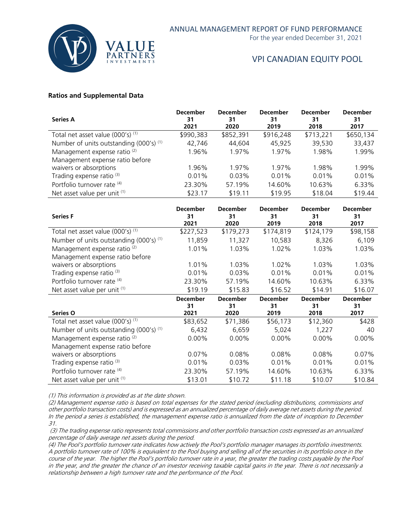

For the year ended December 31, 2021

# VPI CANADIAN EQUITY POOL

#### **Ratios and Supplemental Data**

| <b>Series A</b>                                    | <b>December</b><br>31<br>2021 | <b>December</b><br>31<br>2020 | <b>December</b><br>31<br>2019 | <b>December</b><br>31<br>2018 | <b>December</b><br>31<br>2017 |
|----------------------------------------------------|-------------------------------|-------------------------------|-------------------------------|-------------------------------|-------------------------------|
| Total net asset value (000's) <sup>(1)</sup>       | \$990,383                     | \$852,391                     | \$916,248                     | \$713,221                     | \$650,134                     |
| Number of units outstanding (000's) <sup>(1)</sup> | 42.746                        | 44.604                        | 45,925                        | 39,530                        | 33,437                        |
| Management expense ratio <sup>(2)</sup>            | 1.96%                         | 1.97%                         | 1.97%                         | 1.98%                         | 1.99%                         |
| Management expense ratio before                    |                               |                               |                               |                               |                               |
| waivers or absorptions                             | 1.96%                         | 1.97%                         | 1.97%                         | 1.98%                         | 1.99%                         |
| Trading expense ratio <sup>(3)</sup>               | 0.01%                         | $0.03\%$                      | 0.01%                         | $0.01\%$                      | 0.01%                         |
| Portfolio turnover rate (4)                        | 23.30%                        | 57.19%                        | 14.60%                        | 10.63%                        | 6.33%                         |
| Net asset value per unit (1)                       | \$23.17                       | \$19.11                       | \$19.95                       | \$18.04                       | \$19.44                       |

| <b>Series F</b>                              | <b>December</b><br>31<br>2021 | <b>December</b><br>31<br>2020 | <b>December</b><br>31<br>2019 | <b>December</b><br>31<br>2018 | <b>December</b><br>31<br>2017 |
|----------------------------------------------|-------------------------------|-------------------------------|-------------------------------|-------------------------------|-------------------------------|
| Total net asset value (000's) (1)            | \$227,523                     | \$179,273                     | \$174,819                     | \$124,179                     | \$98,158                      |
| Number of units outstanding $(000's)^{(1)}$  | 11,859                        | 11,327                        | 10,583                        | 8,326                         | 6,109                         |
| Management expense ratio <sup>(2)</sup>      | 1.01%                         | 1.03%                         | 1.02%                         | 1.03%                         | 1.03%                         |
| Management expense ratio before              |                               |                               |                               |                               |                               |
| waivers or absorptions                       | 1.01%                         | 1.03%                         | 1.02%                         | 1.03%                         | 1.03%                         |
| Trading expense ratio <sup>(3)</sup>         | 0.01%                         | 0.03%                         | 0.01%                         | 0.01%                         | 0.01%                         |
| Portfolio turnover rate (4)                  | 23.30%                        | 57.19%                        | 14.60%                        | 10.63%                        | 6.33%                         |
| Net asset value per unit (1)                 | \$19.19                       | \$15.83                       | \$16.52                       | \$14.91                       | \$16.07                       |
|                                              | <b>December</b>               | <b>December</b>               | <b>December</b>               | <b>December</b>               | <b>December</b>               |
|                                              |                               |                               |                               |                               |                               |
|                                              | 31                            | 31                            | 31                            | 31                            | 31                            |
| Series O                                     | 2021                          | 2020                          | 2019                          | 2018                          | 2017                          |
| Total net asset value (000's) <sup>(1)</sup> | \$83,652                      | \$71,386                      | \$56,173                      | \$12,360                      | \$428                         |
| Number of units outstanding $(000's)^{(1)}$  | 6,432                         | 6,659                         | 5,024                         | 1,227                         | 40                            |
| Management expense ratio <sup>(2)</sup>      | $0.00\%$                      | $0.00\%$                      | $0.00\%$                      | $0.00\%$                      | $0.00\%$                      |
| Management expense ratio before              |                               |                               |                               |                               |                               |
| waivers or absorptions                       | 0.07%                         | 0.08%                         | 0.08%                         | 0.08%                         | 0.07%                         |
| Trading expense ratio <sup>(3)</sup>         | 0.01%                         | 0.03%                         | 0.01%                         | 0.01%                         | 0.01%                         |
| Portfolio turnover rate (4)                  | 23.30%                        | 57.19%                        | 14.60%                        | 10.63%                        | 6.33%                         |

(1) This information is provided as at the date shown.

(2) Management expense ratio is based on total expenses for the stated period (excluding distributions, commissions and other portfolio transaction costs) and is expressed as an annualized percentage of daily average net assets during the period. In the period a series is established, the management expense ratio is annualized from the date of inception to December 31.

(3) The trading expense ratio represents total commissions and other portfolio transaction costs expressed as an annualized percentage of daily average net assets during the period.

(4) The Pool's portfolio turnover rate indicates how actively the Pool's portfolio manager manages its portfolio investments. A portfolio turnover rate of 100% is equivalent to the Pool buying and selling all of the securities in its portfolio once in the course of the year. The higher the Pool's portfolio turnover rate in a year, the greater the trading costs payable by the Pool in the year, and the greater the chance of an investor receiving taxable capital gains in the year. There is not necessarily a relationship between a high turnover rate and the performance of the Pool.